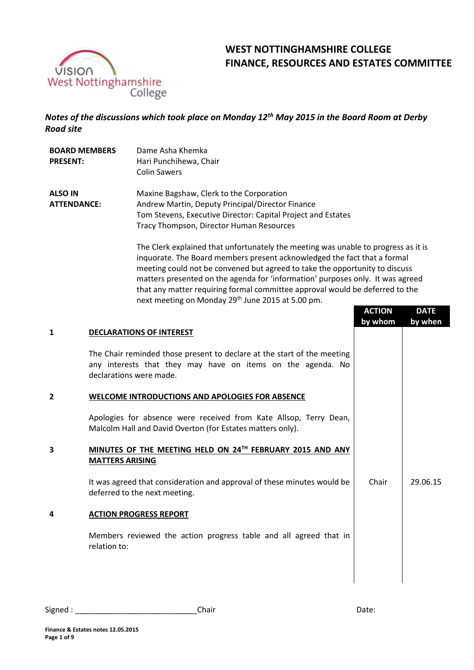

**BOARD MEMBERS** 

# **WEST NOTTINGHAMSHIRE COLLEGE FINANCE, RESOURCES AND ESTATES COMMITTEE**

*Notes of the discussions which took place on Monday 12th May 2015 in the Board Room at Derby Road site*

Dame Asha Khemka

| <b>PRESENT:</b>                      | Hari Punchihewa, Chair<br><b>Colin Sawers</b>                                                                                                                                                                                                                                                                                                                                                                                                                                    |               |             |
|--------------------------------------|----------------------------------------------------------------------------------------------------------------------------------------------------------------------------------------------------------------------------------------------------------------------------------------------------------------------------------------------------------------------------------------------------------------------------------------------------------------------------------|---------------|-------------|
| <b>ALSO IN</b><br><b>ATTENDANCE:</b> | Maxine Bagshaw, Clerk to the Corporation<br>Andrew Martin, Deputy Principal/Director Finance<br>Tom Stevens, Executive Director: Capital Project and Estates<br>Tracy Thompson, Director Human Resources                                                                                                                                                                                                                                                                         |               |             |
|                                      | The Clerk explained that unfortunately the meeting was unable to progress as it is<br>inquorate. The Board members present acknowledged the fact that a formal<br>meeting could not be convened but agreed to take the opportunity to discuss<br>matters presented on the agenda for 'information' purposes only. It was agreed<br>that any matter requiring formal committee approval would be deferred to the<br>next meeting on Monday 29 <sup>th</sup> June 2015 at 5.00 pm. |               |             |
|                                      |                                                                                                                                                                                                                                                                                                                                                                                                                                                                                  | <b>ACTION</b> | <b>DATE</b> |
| 1                                    | <b>DECLARATIONS OF INTEREST</b>                                                                                                                                                                                                                                                                                                                                                                                                                                                  | by whom       | by when     |
| 2                                    | The Chair reminded those present to declare at the start of the meeting<br>any interests that they may have on items on the agenda. No<br>declarations were made.<br>WELCOME INTRODUCTIONS AND APOLOGIES FOR ABSENCE<br>Apologies for absence were received from Kate Allsop, Terry Dean,<br>Malcolm Hall and David Overton (for Estates matters only).                                                                                                                          |               |             |
| 3                                    | MINUTES OF THE MEETING HELD ON 24TH FEBRUARY 2015 AND ANY<br><b>MATTERS ARISING</b>                                                                                                                                                                                                                                                                                                                                                                                              |               |             |
|                                      | It was agreed that consideration and approval of these minutes would be<br>deferred to the next meeting.                                                                                                                                                                                                                                                                                                                                                                         | Chair         | 29.06.15    |
|                                      | <b>ACTION PROGRESS REPORT</b>                                                                                                                                                                                                                                                                                                                                                                                                                                                    |               |             |
|                                      | Members reviewed the action progress table and all agreed that in<br>relation to:                                                                                                                                                                                                                                                                                                                                                                                                |               |             |

| Signed | hair | Udic. |
|--------|------|-------|
|--------|------|-------|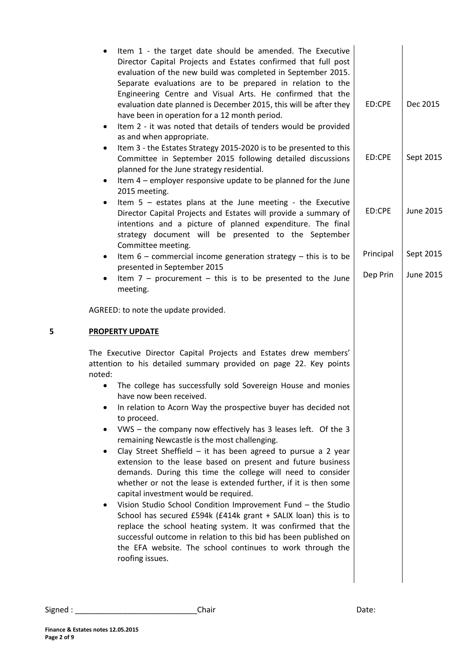|   | Item 1 - the target date should be amended. The Executive<br>$\bullet$<br>Director Capital Projects and Estates confirmed that full post<br>evaluation of the new build was completed in September 2015.<br>Separate evaluations are to be prepared in relation to the<br>Engineering Centre and Visual Arts. He confirmed that the<br>evaluation date planned is December 2015, this will be after they<br>have been in operation for a 12 month period.<br>Item 2 - it was noted that details of tenders would be provided<br>$\bullet$<br>as and when appropriate.                                                                                                                                                                                                                                                                                                                                                                                                                                                                                                                                                                                 | ED:CPE    | Dec 2015         |
|---|-------------------------------------------------------------------------------------------------------------------------------------------------------------------------------------------------------------------------------------------------------------------------------------------------------------------------------------------------------------------------------------------------------------------------------------------------------------------------------------------------------------------------------------------------------------------------------------------------------------------------------------------------------------------------------------------------------------------------------------------------------------------------------------------------------------------------------------------------------------------------------------------------------------------------------------------------------------------------------------------------------------------------------------------------------------------------------------------------------------------------------------------------------|-----------|------------------|
|   | Item 3 - the Estates Strategy 2015-2020 is to be presented to this<br>٠<br>Committee in September 2015 following detailed discussions<br>planned for the June strategy residential.<br>Item 4 - employer responsive update to be planned for the June<br>$\bullet$                                                                                                                                                                                                                                                                                                                                                                                                                                                                                                                                                                                                                                                                                                                                                                                                                                                                                    | ED:CPE    | Sept 2015        |
|   | 2015 meeting.<br>Item $5$ - estates plans at the June meeting - the Executive<br>$\bullet$<br>Director Capital Projects and Estates will provide a summary of<br>intentions and a picture of planned expenditure. The final<br>strategy document will be presented to the September                                                                                                                                                                                                                                                                                                                                                                                                                                                                                                                                                                                                                                                                                                                                                                                                                                                                   | ED:CPE    | <b>June 2015</b> |
|   | Committee meeting.<br>Item $6$ – commercial income generation strategy – this is to be<br>٠                                                                                                                                                                                                                                                                                                                                                                                                                                                                                                                                                                                                                                                                                                                                                                                                                                                                                                                                                                                                                                                           | Principal | Sept 2015        |
|   | presented in September 2015<br>Item $7$ – procurement – this is to be presented to the June<br>$\bullet$<br>meeting.                                                                                                                                                                                                                                                                                                                                                                                                                                                                                                                                                                                                                                                                                                                                                                                                                                                                                                                                                                                                                                  | Dep Prin  | <b>June 2015</b> |
|   | AGREED: to note the update provided.                                                                                                                                                                                                                                                                                                                                                                                                                                                                                                                                                                                                                                                                                                                                                                                                                                                                                                                                                                                                                                                                                                                  |           |                  |
| 5 | <b>PROPERTY UPDATE</b>                                                                                                                                                                                                                                                                                                                                                                                                                                                                                                                                                                                                                                                                                                                                                                                                                                                                                                                                                                                                                                                                                                                                |           |                  |
|   | The Executive Director Capital Projects and Estates drew members'<br>attention to his detailed summary provided on page 22. Key points<br>noted:<br>The college has successfully sold Sovereign House and monies<br>have now been received.<br>In relation to Acorn Way the prospective buyer has decided not<br>$\bullet$<br>to proceed.<br>VWS - the company now effectively has 3 leases left. Of the 3<br>٠<br>remaining Newcastle is the most challenging.<br>Clay Street Sheffield $-$ it has been agreed to pursue a 2 year<br>$\bullet$<br>extension to the lease based on present and future business<br>demands. During this time the college will need to consider<br>whether or not the lease is extended further, if it is then some<br>capital investment would be required.<br>Vision Studio School Condition Improvement Fund - the Studio<br>٠<br>School has secured £594k (£414k grant + SALIX loan) this is to<br>replace the school heating system. It was confirmed that the<br>successful outcome in relation to this bid has been published on<br>the EFA website. The school continues to work through the<br>roofing issues. |           |                  |
|   |                                                                                                                                                                                                                                                                                                                                                                                                                                                                                                                                                                                                                                                                                                                                                                                                                                                                                                                                                                                                                                                                                                                                                       |           |                  |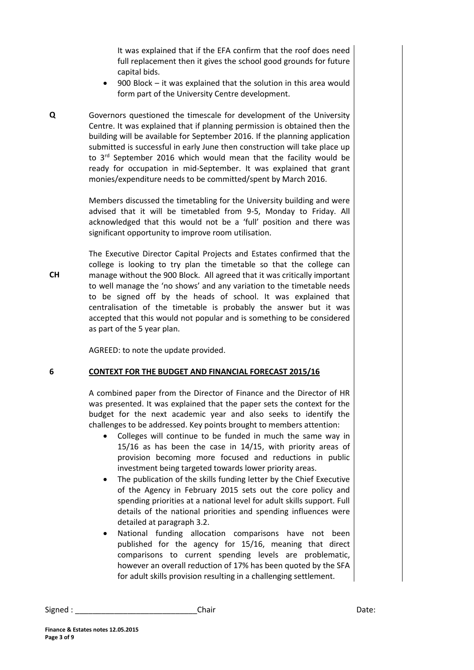It was explained that if the EFA confirm that the roof does need full replacement then it gives the school good grounds for future capital bids.

- 900 Block it was explained that the solution in this area would form part of the University Centre development.
- **Q** Governors questioned the timescale for development of the University Centre. It was explained that if planning permission is obtained then the building will be available for September 2016. If the planning application submitted is successful in early June then construction will take place up to 3<sup>rd</sup> September 2016 which would mean that the facility would be ready for occupation in mid-September. It was explained that grant monies/expenditure needs to be committed/spent by March 2016.

Members discussed the timetabling for the University building and were advised that it will be timetabled from 9-5, Monday to Friday. All acknowledged that this would not be a 'full' position and there was significant opportunity to improve room utilisation.

The Executive Director Capital Projects and Estates confirmed that the college is looking to try plan the timetable so that the college can manage without the 900 Block. All agreed that it was critically important to well manage the 'no shows' and any variation to the timetable needs to be signed off by the heads of school. It was explained that centralisation of the timetable is probably the answer but it was accepted that this would not popular and is something to be considered as part of the 5 year plan.

AGREED: to note the update provided.

### **6 CONTEXT FOR THE BUDGET AND FINANCIAL FORECAST 2015/16**

A combined paper from the Director of Finance and the Director of HR was presented. It was explained that the paper sets the context for the budget for the next academic year and also seeks to identify the challenges to be addressed. Key points brought to members attention:

- Colleges will continue to be funded in much the same way in 15/16 as has been the case in 14/15, with priority areas of provision becoming more focused and reductions in public investment being targeted towards lower priority areas.
- The publication of the skills funding letter by the Chief Executive of the Agency in February 2015 sets out the core policy and spending priorities at a national level for adult skills support. Full details of the national priorities and spending influences were detailed at paragraph 3.2.
- National funding allocation comparisons have not been published for the agency for 15/16, meaning that direct comparisons to current spending levels are problematic, however an overall reduction of 17% has been quoted by the SFA for adult skills provision resulting in a challenging settlement.

| Signed | ¬ - - |
|--------|-------|
| Chair  | Daτe: |

**CH**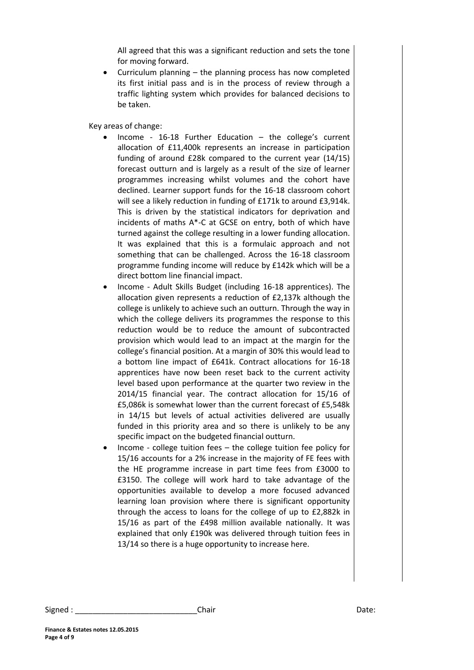All agreed that this was a significant reduction and sets the tone for moving forward.

 Curriculum planning – the planning process has now completed its first initial pass and is in the process of review through a traffic lighting system which provides for balanced decisions to be taken.

Key areas of change:

- $\bullet$  Income 16-18 Further Education the college's current allocation of £11,400k represents an increase in participation funding of around £28k compared to the current year (14/15) forecast outturn and is largely as a result of the size of learner programmes increasing whilst volumes and the cohort have declined. Learner support funds for the 16-18 classroom cohort will see a likely reduction in funding of £171k to around £3,914k. This is driven by the statistical indicators for deprivation and incidents of maths A\*-C at GCSE on entry, both of which have turned against the college resulting in a lower funding allocation. It was explained that this is a formulaic approach and not something that can be challenged. Across the 16-18 classroom programme funding income will reduce by £142k which will be a direct bottom line financial impact.
- Income Adult Skills Budget (including 16-18 apprentices). The allocation given represents a reduction of £2,137k although the college is unlikely to achieve such an outturn. Through the way in which the college delivers its programmes the response to this reduction would be to reduce the amount of subcontracted provision which would lead to an impact at the margin for the college's financial position. At a margin of 30% this would lead to a bottom line impact of £641k. Contract allocations for 16-18 apprentices have now been reset back to the current activity level based upon performance at the quarter two review in the 2014/15 financial year. The contract allocation for 15/16 of £5,086k is somewhat lower than the current forecast of £5,548k in 14/15 but levels of actual activities delivered are usually funded in this priority area and so there is unlikely to be any specific impact on the budgeted financial outturn.
- Income college tuition fees the college tuition fee policy for 15/16 accounts for a 2% increase in the majority of FE fees with the HE programme increase in part time fees from £3000 to £3150. The college will work hard to take advantage of the opportunities available to develop a more focused advanced learning loan provision where there is significant opportunity through the access to loans for the college of up to £2,882k in 15/16 as part of the £498 million available nationally. It was explained that only £190k was delivered through tuition fees in 13/14 so there is a huge opportunity to increase here.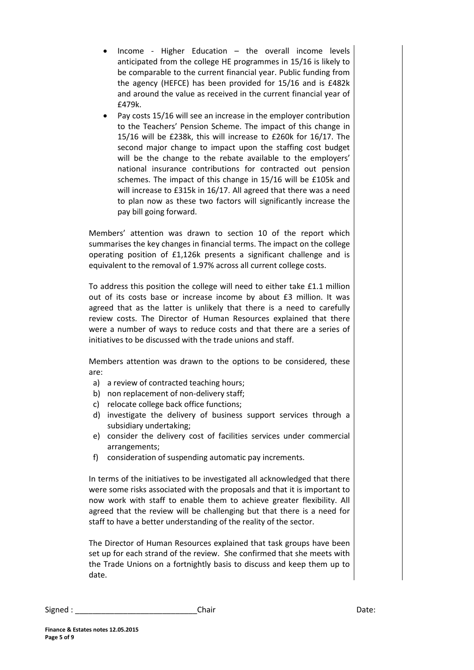- Income Higher Education the overall income levels anticipated from the college HE programmes in 15/16 is likely to be comparable to the current financial year. Public funding from the agency (HEFCE) has been provided for 15/16 and is £482k and around the value as received in the current financial year of £479k.
- Pay costs 15/16 will see an increase in the employer contribution to the Teachers' Pension Scheme. The impact of this change in 15/16 will be £238k, this will increase to £260k for 16/17. The second major change to impact upon the staffing cost budget will be the change to the rebate available to the employers' national insurance contributions for contracted out pension schemes. The impact of this change in 15/16 will be £105k and will increase to £315k in 16/17. All agreed that there was a need to plan now as these two factors will significantly increase the pay bill going forward.

Members' attention was drawn to section 10 of the report which summarises the key changes in financial terms. The impact on the college operating position of £1,126k presents a significant challenge and is equivalent to the removal of 1.97% across all current college costs.

To address this position the college will need to either take £1.1 million out of its costs base or increase income by about £3 million. It was agreed that as the latter is unlikely that there is a need to carefully review costs. The Director of Human Resources explained that there were a number of ways to reduce costs and that there are a series of initiatives to be discussed with the trade unions and staff.

Members attention was drawn to the options to be considered, these are:

- a) a review of contracted teaching hours;
- b) non replacement of non-delivery staff;
- c) relocate college back office functions;
- d) investigate the delivery of business support services through a subsidiary undertaking;
- e) consider the delivery cost of facilities services under commercial arrangements;
- f) consideration of suspending automatic pay increments.

In terms of the initiatives to be investigated all acknowledged that there were some risks associated with the proposals and that it is important to now work with staff to enable them to achieve greater flexibility. All agreed that the review will be challenging but that there is a need for staff to have a better understanding of the reality of the sector.

The Director of Human Resources explained that task groups have been set up for each strand of the review. She confirmed that she meets with the Trade Unions on a fortnightly basis to discuss and keep them up to date.

| Signed | Chair | Dale. |
|--------|-------|-------|
|--------|-------|-------|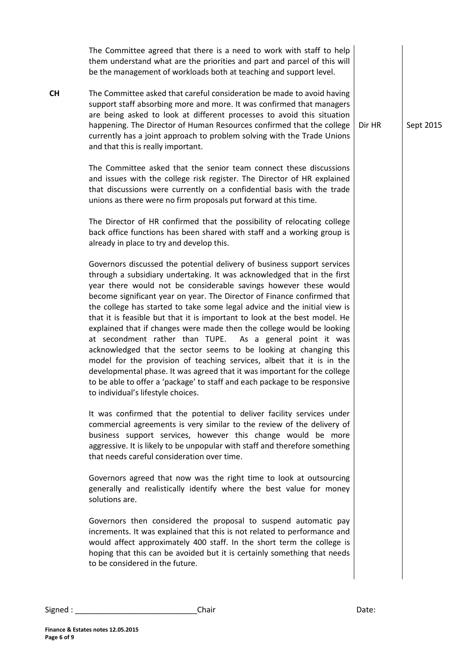|           | The Committee agreed that there is a need to work with staff to help<br>them understand what are the priorities and part and parcel of this will<br>be the management of workloads both at teaching and support level.                                                                                                                                                                                                                                                                                                                                                                                                                                                                                                                                                                                                                                                                                                                            |        |           |
|-----------|---------------------------------------------------------------------------------------------------------------------------------------------------------------------------------------------------------------------------------------------------------------------------------------------------------------------------------------------------------------------------------------------------------------------------------------------------------------------------------------------------------------------------------------------------------------------------------------------------------------------------------------------------------------------------------------------------------------------------------------------------------------------------------------------------------------------------------------------------------------------------------------------------------------------------------------------------|--------|-----------|
| <b>CH</b> | The Committee asked that careful consideration be made to avoid having<br>support staff absorbing more and more. It was confirmed that managers<br>are being asked to look at different processes to avoid this situation<br>happening. The Director of Human Resources confirmed that the college<br>currently has a joint approach to problem solving with the Trade Unions<br>and that this is really important.                                                                                                                                                                                                                                                                                                                                                                                                                                                                                                                               | Dir HR | Sept 2015 |
|           | The Committee asked that the senior team connect these discussions<br>and issues with the college risk register. The Director of HR explained<br>that discussions were currently on a confidential basis with the trade<br>unions as there were no firm proposals put forward at this time.                                                                                                                                                                                                                                                                                                                                                                                                                                                                                                                                                                                                                                                       |        |           |
|           | The Director of HR confirmed that the possibility of relocating college<br>back office functions has been shared with staff and a working group is<br>already in place to try and develop this.                                                                                                                                                                                                                                                                                                                                                                                                                                                                                                                                                                                                                                                                                                                                                   |        |           |
|           | Governors discussed the potential delivery of business support services<br>through a subsidiary undertaking. It was acknowledged that in the first<br>year there would not be considerable savings however these would<br>become significant year on year. The Director of Finance confirmed that<br>the college has started to take some legal advice and the initial view is<br>that it is feasible but that it is important to look at the best model. He<br>explained that if changes were made then the college would be looking<br>at secondment rather than TUPE. As a general point it was<br>acknowledged that the sector seems to be looking at changing this<br>model for the provision of teaching services, albeit that it is in the<br>developmental phase. It was agreed that it was important for the college<br>to be able to offer a 'package' to staff and each package to be responsive<br>to individual's lifestyle choices. |        |           |
|           | It was confirmed that the potential to deliver facility services under<br>commercial agreements is very similar to the review of the delivery of<br>business support services, however this change would be more<br>aggressive. It is likely to be unpopular with staff and therefore something<br>that needs careful consideration over time.                                                                                                                                                                                                                                                                                                                                                                                                                                                                                                                                                                                                    |        |           |
|           | Governors agreed that now was the right time to look at outsourcing<br>generally and realistically identify where the best value for money<br>solutions are.                                                                                                                                                                                                                                                                                                                                                                                                                                                                                                                                                                                                                                                                                                                                                                                      |        |           |
|           | Governors then considered the proposal to suspend automatic pay<br>increments. It was explained that this is not related to performance and<br>would affect approximately 400 staff. In the short term the college is<br>hoping that this can be avoided but it is certainly something that needs<br>to be considered in the future.                                                                                                                                                                                                                                                                                                                                                                                                                                                                                                                                                                                                              |        |           |
|           |                                                                                                                                                                                                                                                                                                                                                                                                                                                                                                                                                                                                                                                                                                                                                                                                                                                                                                                                                   |        |           |

| Signed. | Chair | Date: |
|---------|-------|-------|
|         |       |       |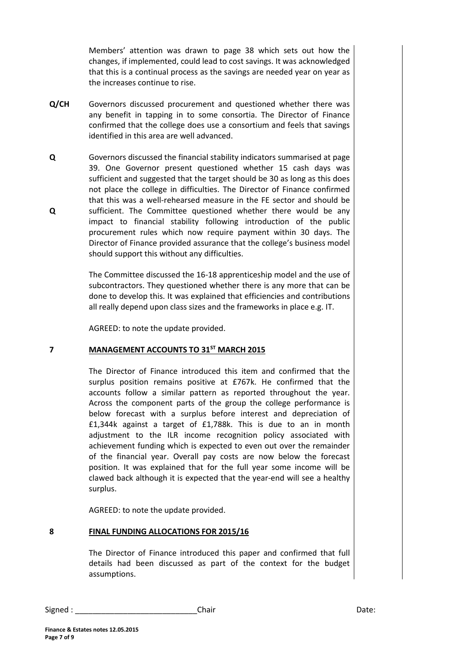Members' attention was drawn to page 38 which sets out how the changes, if implemented, could lead to cost savings. It was acknowledged that this is a continual process as the savings are needed year on year as the increases continue to rise.

- **Q/CH** Governors discussed procurement and questioned whether there was any benefit in tapping in to some consortia. The Director of Finance confirmed that the college does use a consortium and feels that savings identified in this area are well advanced.
- **Q Q** Governors discussed the financial stability indicators summarised at page 39. One Governor present questioned whether 15 cash days was sufficient and suggested that the target should be 30 as long as this does not place the college in difficulties. The Director of Finance confirmed that this was a well-rehearsed measure in the FE sector and should be sufficient. The Committee questioned whether there would be any impact to financial stability following introduction of the public procurement rules which now require payment within 30 days. The Director of Finance provided assurance that the college's business model should support this without any difficulties.

The Committee discussed the 16-18 apprenticeship model and the use of subcontractors. They questioned whether there is any more that can be done to develop this. It was explained that efficiencies and contributions all really depend upon class sizes and the frameworks in place e.g. IT.

AGREED: to note the update provided.

### **7 MANAGEMENT ACCOUNTS TO 31ST MARCH 2015**

The Director of Finance introduced this item and confirmed that the surplus position remains positive at £767k. He confirmed that the accounts follow a similar pattern as reported throughout the year. Across the component parts of the group the college performance is below forecast with a surplus before interest and depreciation of £1,344k against a target of £1,788k. This is due to an in month adjustment to the ILR income recognition policy associated with achievement funding which is expected to even out over the remainder of the financial year. Overall pay costs are now below the forecast position. It was explained that for the full year some income will be clawed back although it is expected that the year-end will see a healthy surplus.

AGREED: to note the update provided.

### **8 FINAL FUNDING ALLOCATIONS FOR 2015/16**

The Director of Finance introduced this paper and confirmed that full details had been discussed as part of the context for the budget assumptions.

Signed : \_\_\_\_\_\_\_\_\_\_\_\_\_\_\_\_\_\_\_\_\_\_\_\_\_\_\_\_Chair Date: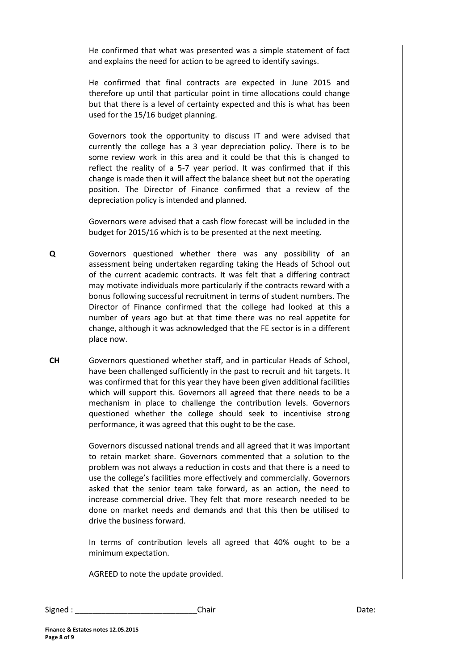He confirmed that what was presented was a simple statement of fact and explains the need for action to be agreed to identify savings.

He confirmed that final contracts are expected in June 2015 and therefore up until that particular point in time allocations could change but that there is a level of certainty expected and this is what has been used for the 15/16 budget planning.

Governors took the opportunity to discuss IT and were advised that currently the college has a 3 year depreciation policy. There is to be some review work in this area and it could be that this is changed to reflect the reality of a 5-7 year period. It was confirmed that if this change is made then it will affect the balance sheet but not the operating position. The Director of Finance confirmed that a review of the depreciation policy is intended and planned.

Governors were advised that a cash flow forecast will be included in the budget for 2015/16 which is to be presented at the next meeting.

**Q** Governors questioned whether there was any possibility of an assessment being undertaken regarding taking the Heads of School out of the current academic contracts. It was felt that a differing contract may motivate individuals more particularly if the contracts reward with a bonus following successful recruitment in terms of student numbers. The Director of Finance confirmed that the college had looked at this a number of years ago but at that time there was no real appetite for change, although it was acknowledged that the FE sector is in a different place now.

**CH** Governors questioned whether staff, and in particular Heads of School, have been challenged sufficiently in the past to recruit and hit targets. It was confirmed that for this year they have been given additional facilities which will support this. Governors all agreed that there needs to be a mechanism in place to challenge the contribution levels. Governors questioned whether the college should seek to incentivise strong performance, it was agreed that this ought to be the case.

> Governors discussed national trends and all agreed that it was important to retain market share. Governors commented that a solution to the problem was not always a reduction in costs and that there is a need to use the college's facilities more effectively and commercially. Governors asked that the senior team take forward, as an action, the need to increase commercial drive. They felt that more research needed to be done on market needs and demands and that this then be utilised to drive the business forward.

> In terms of contribution levels all agreed that 40% ought to be a minimum expectation.

AGREED to note the update provided.

| Signed | Chair | Date: |
|--------|-------|-------|
|--------|-------|-------|